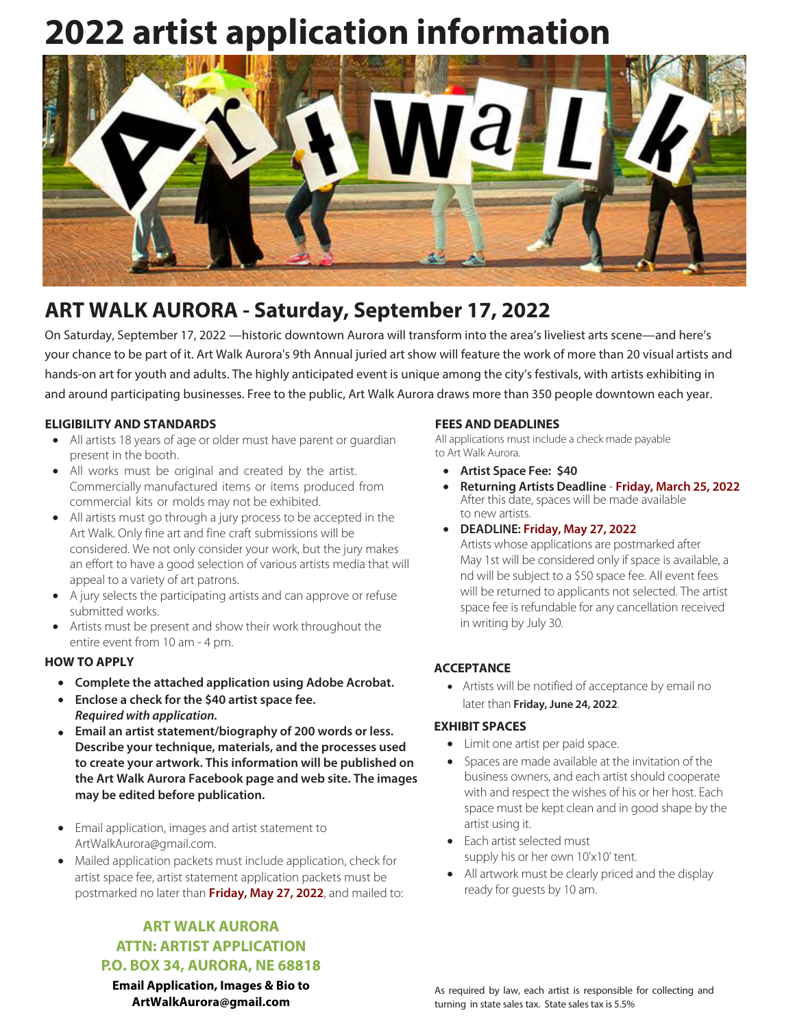## **2022 artist application information**



### **ART WALK AURORA - Saturday, September 17, 2022**

On Saturday, September 17, 2022 - historic downtown Aurora will transform into the area's liveliest arts scene-and here's your chance to be part of it. Art Walk Aurora's 9th Annual juried art show will feature the work of more than 20 visual artists and hands-on art for youth and adults. The highly anticipated event is unique among the city's festivals, with artists exhibiting in and around participating businesses. Free to the public, Art Walk Aurora draws more than 350 people downtown each year.

#### **ELIGIBILITY AND STANDARDS**

- All artists 18 years of age or older must have parent or quardian present in the booth.
- All works must be original and created by the artist. Commercially manufactured items or items produced from commercial kits or molds may not be exhibited.
- All artists must go through a jury process to be accepted in the Art Walk. Only fine art and fine craft submissions will be considered. We not only consider your work, but the jury makes an effort to have a good selection of various artists media that will appeal to a variety of art patrons.
- A jury selects the participating artists and can approve or refuse submitted works.
- Artists must be present and show their work throughout the entire event from 10 am - 4 pm.

#### **HOW TO APPLY**

- Complete the attached application using Adobe Acrobat.
- Enclose a check for the \$40 artist space fee. Required with application.
- Email an artist statement/biography of 200 words or less. Describe your technique, materials, and the processes used to create your artwork. This information will be published on the Art Walk Aurora Facebook page and web site. The images may be edited before publication.
- Email application, images and artist statement to ArtWalkAurora@gmail.com.
- Mailed application packets must include application, check for artist space fee, artist statement application packets must be postmarked no later than Friday, May 27, 2022, and mailed to:

#### **ART WALK AURORA ATTN: ARTIST APPLICATION P.O. BOX 34, AURORA, NE 68818**

**Email Application, Images & Bio to** ArtWalkAurora@gmail.com

#### **FEES AND DEADLINES**

All applications must include a check made payable to Art Walk Aurora.

- Artist Space Fee: \$40
- Returning Artists Deadline Friday, March 25, 2022 After this date, spaces will be made available to new artists.
- DEADLINE: Friday, May 27, 2022

Artists whose applications are postmarked after May 1st will be considered only if space is available, a nd will be subject to a \$50 space fee. All event fees will be returned to applicants not selected. The artist space fee is refundable for any cancellation received in writing by July 30.

#### **ACCEPTANCE**

• Artists will be notified of acceptance by email no later than Friday, June 24, 2022.

#### **EXHIBIT SPACES**

- Limit one artist per paid space.
- Spaces are made available at the invitation of the business owners, and each artist should cooperate with and respect the wishes of his or her host. Each space must be kept clean and in good shape by the artist using it.
- Each artist selected must supply his or her own 10'x10' tent.
- All artwork must be clearly priced and the display ready for guests by 10 am.

As required by law, each artist is responsible for collecting and turning in state sales tax. State sales tax is 5.5%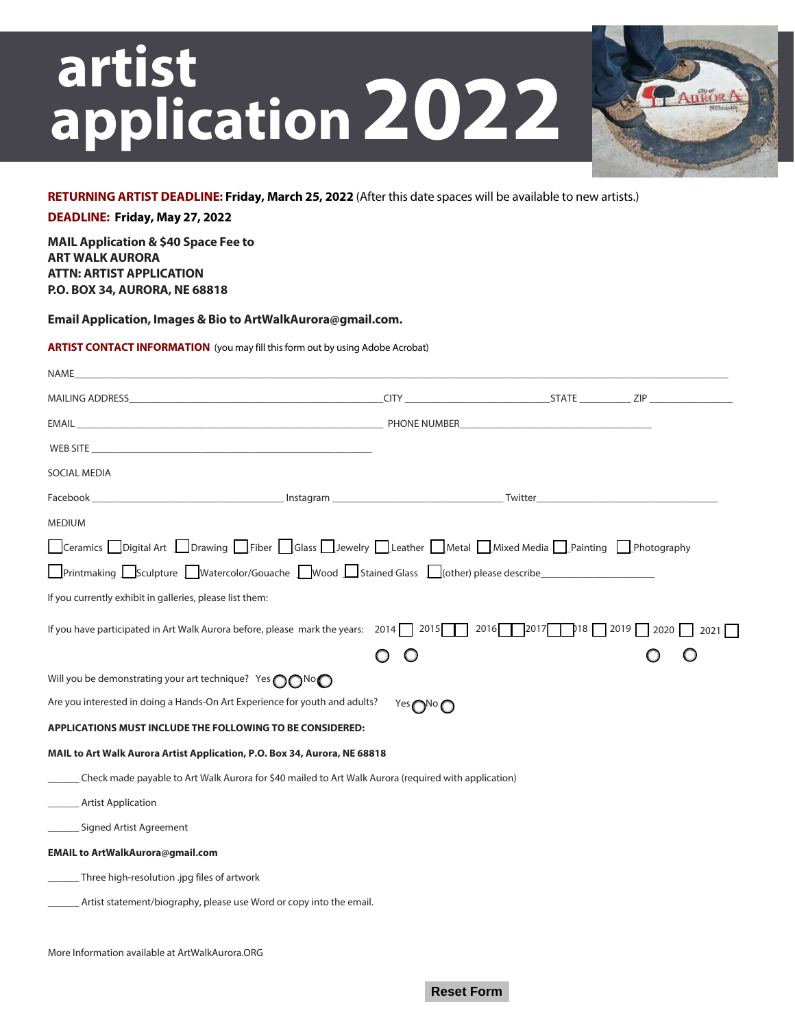# artist application 2022



#### RETURNING ARTIST DEADLINE: Friday, March 25, 2022 (After this date spaces will be available to new artists.)

DEADLINE: Friday, May 27, 2022

**MAIL Application & \$40 Space Fee to ART WALK AURORA ATTN: ARTIST APPLICATION** P.O. BOX 34, AURORA, NE 68818

Email Application, Images & Bio to ArtWalkAurora@gmail.com.

#### **ARTIST CONTACT INFORMATION** (you may fill this form out by using Adobe Acrobat)

| NAME_                                                                                                                                                                                                                              |                                  |                |                            |
|------------------------------------------------------------------------------------------------------------------------------------------------------------------------------------------------------------------------------------|----------------------------------|----------------|----------------------------|
|                                                                                                                                                                                                                                    |                                  |                |                            |
|                                                                                                                                                                                                                                    |                                  |                |                            |
| WEB SITE <b>Example 2018</b> The SITE STATE AND THE SITE OF A STATE OF A STATE OF A STATE OF A STATE OF A STATE OF A STATE OF A STATE OF A STATE OF A STATE OF A STATE OF A STATE OF A STATE OF A STATE OF A STATE OF A STATE OF A |                                  |                |                            |
| SOCIAL MEDIA                                                                                                                                                                                                                       |                                  |                |                            |
|                                                                                                                                                                                                                                    |                                  |                |                            |
| <b>MEDIUM</b>                                                                                                                                                                                                                      |                                  |                |                            |
| Ceramics Digital Art DDrawing Fiber Glass DJewelry DLeather DMetal DMixed Media DPainting DPhotography                                                                                                                             |                                  |                |                            |
| Printmaking Sculpture Watercolor/Gouache Wood Stained Glass G(other) please describe                                                                                                                                               |                                  |                |                            |
| If you currently exhibit in galleries, please list them:                                                                                                                                                                           |                                  |                |                            |
| If you have participated in Art Walk Aurora before, please mark the years: $2014 \cap 2015$                                                                                                                                        |                                  | $2016$ 2017 18 | $\sqrt{2019}$ 2020<br>2021 |
|                                                                                                                                                                                                                                    | O                                |                |                            |
| Will you be demonstrating your art technique? Yes OONoO                                                                                                                                                                            |                                  |                |                            |
| Are you interested in doing a Hands-On Art Experience for youth and adults?                                                                                                                                                        | Yes <sub>O</sub> No <sub>O</sub> |                |                            |
| <b>APPLICATIONS MUST INCLUDE THE FOLLOWING TO BE CONSIDERED:</b>                                                                                                                                                                   |                                  |                |                            |
| MAIL to Art Walk Aurora Artist Application, P.O. Box 34, Aurora, NE 68818                                                                                                                                                          |                                  |                |                            |
| Check made payable to Art Walk Aurora for \$40 mailed to Art Walk Aurora (required with application)                                                                                                                               |                                  |                |                            |
| <b>Artist Application</b>                                                                                                                                                                                                          |                                  |                |                            |
| Signed Artist Agreement                                                                                                                                                                                                            |                                  |                |                            |
| <b>EMAIL to ArtWalkAurora@gmail.com</b>                                                                                                                                                                                            |                                  |                |                            |
| Three high-resolution .jpg files of artwork                                                                                                                                                                                        |                                  |                |                            |
| Artist statement/biography, please use Word or copy into the email.                                                                                                                                                                |                                  |                |                            |
|                                                                                                                                                                                                                                    |                                  |                |                            |

More Information available at ArtWalkAurora.ORG